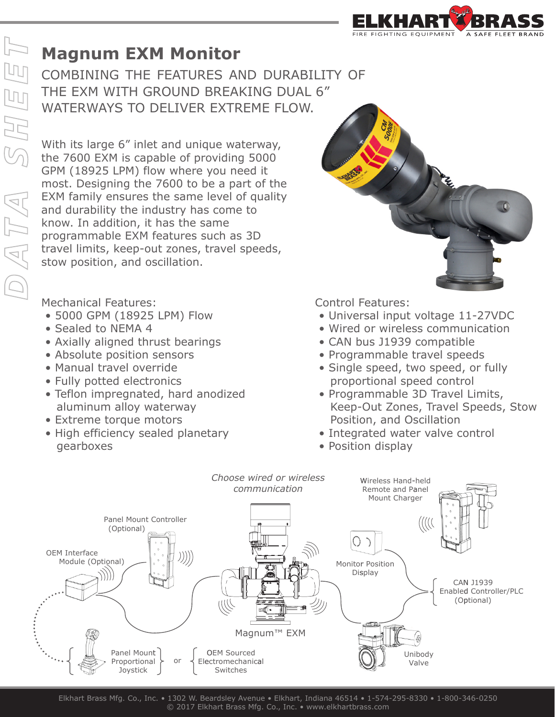## **Magnum EXM Monitor**

**COMBINING THE FEATURES AND DURABILITY OF** THE EXM WITH GROUND BREAKING DUAL 6" WATERWAYS TO DELIVER EXTREME FLOW.

THE EXM WITH GROUND BREAKING L<br>WATERWAYS TO DELIVER EXTREME F<br>With its large 6" inlet and unique waterway,<br>the 7600 EXM is capable of providing 5000<br>GPM (18925 LPM) flow where you need it<br>most. Designing the 7600 to be a p the 7600 EXM is capable of providing 5000 GPM (18925 LPM) flow where you need it most. Designing the 7600 to be a part of the EXM family ensures the same level of quality and durability the industry has come to know. In addition, it has the same programmable EXM features such as 3D travel limits, keep-out zones, travel speeds, stow position, and oscillation.

Mechanical Features:

- 5000 GPM (18925 LPM) Flow
- Sealed to NEMA 4
- Axially aligned thrust bearings
- Absolute position sensors
- Manual travel override
- Fully potted electronics
- Teflon impregnated, hard anodized aluminum alloy waterway
- Extreme torque motors
- High efficiency sealed planetary gearboxes

Control Features:

- Universal input voltage 11-27VDC
- Wired or wireless communication
- CAN bus J1939 compatible
- Programmable travel speeds
- Single speed, two speed, or fully proportional speed control
- Programmable 3D Travel Limits, Keep-Out Zones, Travel Speeds, Stow Position, and Oscillation
- Integrated water valve control
- Position display